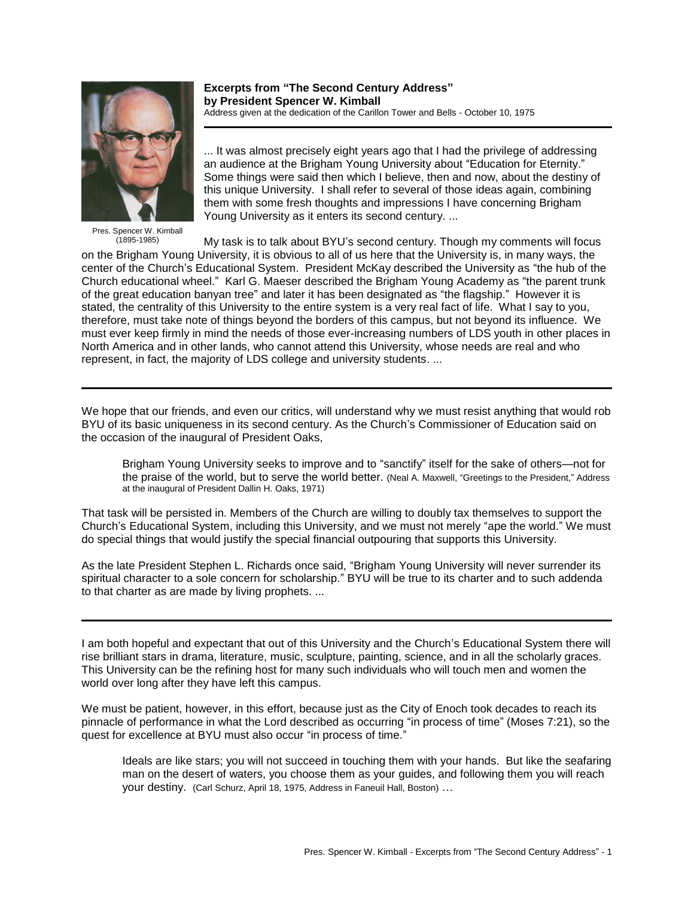Pres. Spencer W. Kimball (1895-1985)

**Excerpts from "The Second Century Address" by President Spencer W. Kimball** Address given at the dedication of the Carillon Tower and Bells - October 10, 1975

... It was almost precisely eight years ago that I had the privilege of addressing an audience at the Brigham Young University about "Education for Eternity." Some things were said then which I believe, then and now, about the destiny of this unique University. I shall refer to several of those ideas again, combining them with some fresh thoughts and impressions I have concerning Brigham Young University as it enters its second century. ...

My task is to talk about BYU's second century. Though my comments will focus on the Brigham Young University, it is obvious to all of us here that the University is, in many ways, the center of the Church's Educational System. President McKay described the University as "the hub of the Church educational wheel." Karl G. Maeser described the Brigham Young Academy as "the parent trunk of the great education banyan tree" and later it has been designated as "the flagship." However it is stated, the centrality of this University to the entire system is a very real fact of life. What I say to you, therefore, must take note of things beyond the borders of this campus, but not beyond its influence. We must ever keep firmly in mind the needs of those ever-increasing numbers of LDS youth in other places in North America and in other lands, who cannot attend this University, whose needs are real and who represent, in fact, the majority of LDS college and university students. ...

We hope that our friends, and even our critics, will understand why we must resist anything that would rob BYU of its basic uniqueness in its second century. As the Church's Commissioner of Education said on the occasion of the inaugural of President Oaks,

Brigham Young University seeks to improve and to "sanctify" itself for the sake of others—not for the praise of the world, but to serve the world better. (Neal A. Maxwell, "Greetings to the President," Address at the inaugural of President Dallin H. Oaks, 1971)

That task will be persisted in. Members of the Church are willing to doubly tax themselves to support the Church's Educational System, including this University, and we must not merely "ape the world." We must do special things that would justify the special financial outpouring that supports this University.

As the late President Stephen L. Richards once said, "Brigham Young University will never surrender its spiritual character to a sole concern for scholarship." BYU will be true to its charter and to such addenda to that charter as are made by living prophets. ...

I am both hopeful and expectant that out of this University and the Church's Educational System there will rise brilliant stars in drama, literature, music, sculpture, painting, science, and in all the scholarly graces. This University can be the refining host for many such individuals who will touch men and women the world over long after they have left this campus.

We must be patient, however, in this effort, because just as the City of Enoch took decades to reach its pinnacle of performance in what the Lord described as occurring "in process of time" (Moses 7:21), so the quest for excellence at BYU must also occur "in process of time."

Ideals are like stars; you will not succeed in touching them with your hands. But like the seafaring man on the desert of waters, you choose them as your guides, and following them you will reach your destiny. (Carl Schurz, April 18, 1975, Address in Faneuil Hall, Boston) …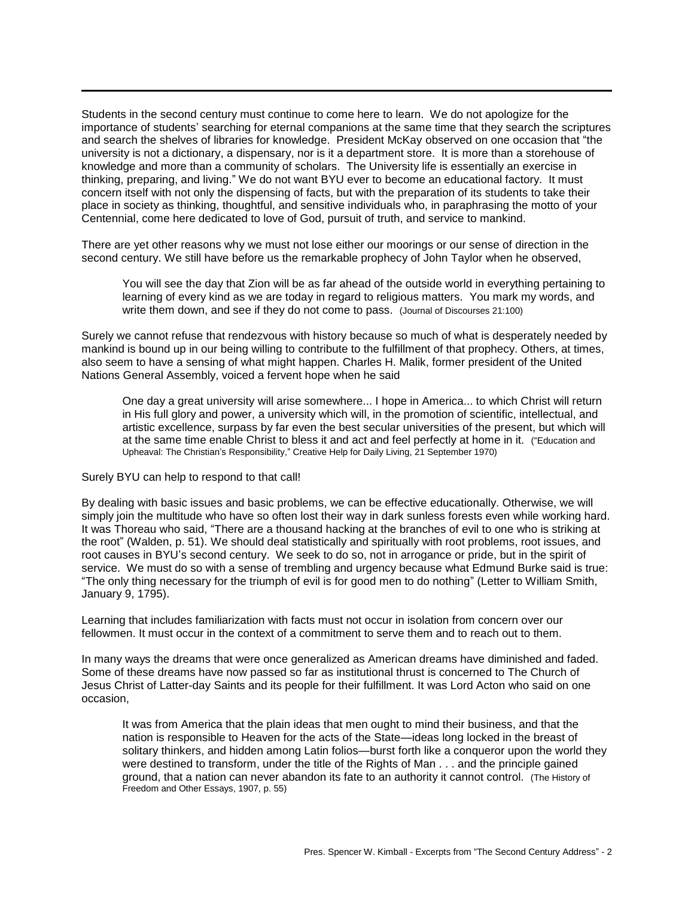Students in the second century must continue to come here to learn. We do not apologize for the importance of students' searching for eternal companions at the same time that they search the scriptures and search the shelves of libraries for knowledge. President McKay observed on one occasion that "the university is not a dictionary, a dispensary, nor is it a department store. It is more than a storehouse of knowledge and more than a community of scholars. The University life is essentially an exercise in thinking, preparing, and living." We do not want BYU ever to become an educational factory. It must concern itself with not only the dispensing of facts, but with the preparation of its students to take their place in society as thinking, thoughtful, and sensitive individuals who, in paraphrasing the motto of your Centennial, come here dedicated to love of God, pursuit of truth, and service to mankind.

There are yet other reasons why we must not lose either our moorings or our sense of direction in the second century. We still have before us the remarkable prophecy of John Taylor when he observed,

You will see the day that Zion will be as far ahead of the outside world in everything pertaining to learning of every kind as we are today in regard to religious matters. You mark my words, and write them down, and see if they do not come to pass. (Journal of Discourses 21:100)

Surely we cannot refuse that rendezvous with history because so much of what is desperately needed by mankind is bound up in our being willing to contribute to the fulfillment of that prophecy. Others, at times, also seem to have a sensing of what might happen. Charles H. Malik, former president of the United Nations General Assembly, voiced a fervent hope when he said

One day a great university will arise somewhere... I hope in America... to which Christ will return in His full glory and power, a university which will, in the promotion of scientific, intellectual, and artistic excellence, surpass by far even the best secular universities of the present, but which will at the same time enable Christ to bless it and act and feel perfectly at home in it. ("Education and Upheaval: The Christian's Responsibility," Creative Help for Daily Living, 21 September 1970)

Surely BYU can help to respond to that call!

By dealing with basic issues and basic problems, we can be effective educationally. Otherwise, we will simply join the multitude who have so often lost their way in dark sunless forests even while working hard. It was Thoreau who said, "There are a thousand hacking at the branches of evil to one who is striking at the root" (Walden, p. 51). We should deal statistically and spiritually with root problems, root issues, and root causes in BYU's second century. We seek to do so, not in arrogance or pride, but in the spirit of service. We must do so with a sense of trembling and urgency because what Edmund Burke said is true: "The only thing necessary for the triumph of evil is for good men to do nothing" (Letter to William Smith, January 9, 1795).

Learning that includes familiarization with facts must not occur in isolation from concern over our fellowmen. It must occur in the context of a commitment to serve them and to reach out to them.

In many ways the dreams that were once generalized as American dreams have diminished and faded. Some of these dreams have now passed so far as institutional thrust is concerned to The Church of Jesus Christ of Latter-day Saints and its people for their fulfillment. It was Lord Acton who said on one occasion,

It was from America that the plain ideas that men ought to mind their business, and that the nation is responsible to Heaven for the acts of the State—ideas long locked in the breast of solitary thinkers, and hidden among Latin folios—burst forth like a conqueror upon the world they were destined to transform, under the title of the Rights of Man . . . and the principle gained ground, that a nation can never abandon its fate to an authority it cannot control. (The History of Freedom and Other Essays, 1907, p. 55)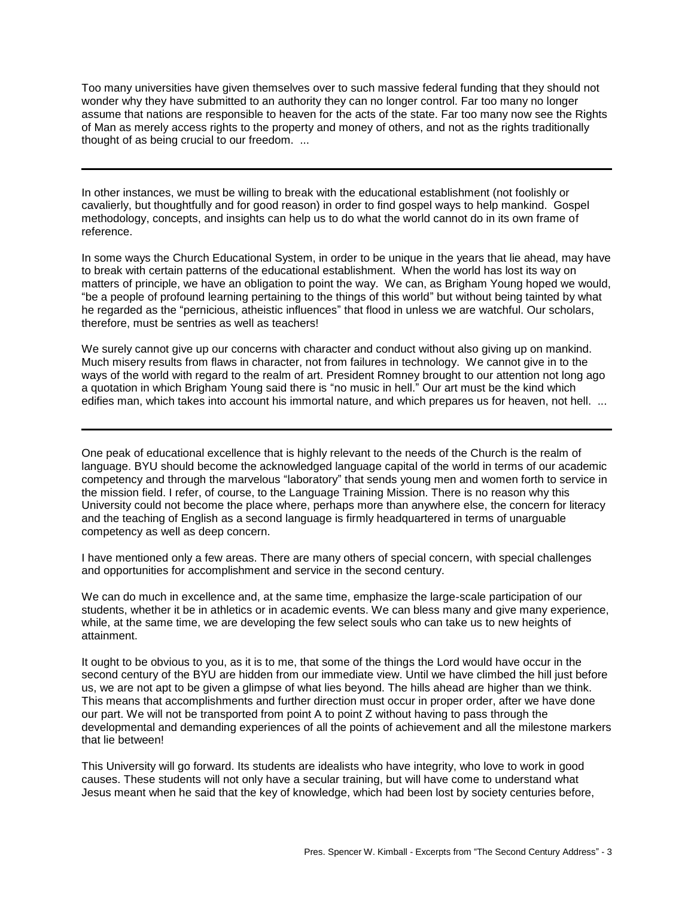Too many universities have given themselves over to such massive federal funding that they should not wonder why they have submitted to an authority they can no longer control. Far too many no longer assume that nations are responsible to heaven for the acts of the state. Far too many now see the Rights of Man as merely access rights to the property and money of others, and not as the rights traditionally thought of as being crucial to our freedom. ...

In other instances, we must be willing to break with the educational establishment (not foolishly or cavalierly, but thoughtfully and for good reason) in order to find gospel ways to help mankind. Gospel methodology, concepts, and insights can help us to do what the world cannot do in its own frame of reference.

In some ways the Church Educational System, in order to be unique in the years that lie ahead, may have to break with certain patterns of the educational establishment. When the world has lost its way on matters of principle, we have an obligation to point the way. We can, as Brigham Young hoped we would, "be a people of profound learning pertaining to the things of this world" but without being tainted by what he regarded as the "pernicious, atheistic influences" that flood in unless we are watchful. Our scholars, therefore, must be sentries as well as teachers!

We surely cannot give up our concerns with character and conduct without also giving up on mankind. Much misery results from flaws in character, not from failures in technology. We cannot give in to the ways of the world with regard to the realm of art. President Romney brought to our attention not long ago a quotation in which Brigham Young said there is "no music in hell." Our art must be the kind which edifies man, which takes into account his immortal nature, and which prepares us for heaven, not hell. ...

One peak of educational excellence that is highly relevant to the needs of the Church is the realm of language. BYU should become the acknowledged language capital of the world in terms of our academic competency and through the marvelous "laboratory" that sends young men and women forth to service in the mission field. I refer, of course, to the Language Training Mission. There is no reason why this University could not become the place where, perhaps more than anywhere else, the concern for literacy and the teaching of English as a second language is firmly headquartered in terms of unarguable competency as well as deep concern.

I have mentioned only a few areas. There are many others of special concern, with special challenges and opportunities for accomplishment and service in the second century.

We can do much in excellence and, at the same time, emphasize the large-scale participation of our students, whether it be in athletics or in academic events. We can bless many and give many experience, while, at the same time, we are developing the few select souls who can take us to new heights of attainment.

It ought to be obvious to you, as it is to me, that some of the things the Lord would have occur in the second century of the BYU are hidden from our immediate view. Until we have climbed the hill just before us, we are not apt to be given a glimpse of what lies beyond. The hills ahead are higher than we think. This means that accomplishments and further direction must occur in proper order, after we have done our part. We will not be transported from point A to point Z without having to pass through the developmental and demanding experiences of all the points of achievement and all the milestone markers that lie between!

This University will go forward. Its students are idealists who have integrity, who love to work in good causes. These students will not only have a secular training, but will have come to understand what Jesus meant when he said that the key of knowledge, which had been lost by society centuries before,